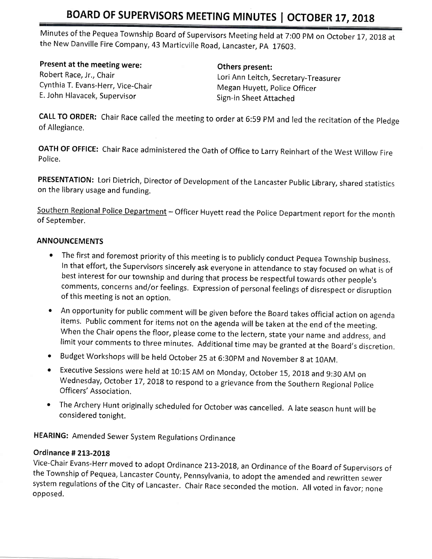Minutes of the Pequea Township Board of Supervisors Meeting held at 7:00 PM on October 17, 2018 at the New Danville Fire company,43 Marticville Road, Lancaster, pA 17003.

### Present at the meeting were:

Robert Race, Jr,, Chair Cynthia T. Evans-Herr, Vice-Chair E. John Hlavacek, Supervisor

Others present: Lori Ann Leitch, Secretary-Treasurer Megan Huyett, Police Officer Sign-in Sheet Attached

CALL TO ORDER: Chair Race called the meeting to order at 6:59 PM and led the recitation of the Pledge of Allegiance,

OATH OF OFFICE: Chair Race administered the Oath of Office to Larry Reinhart of the West Willow Fire Police.

PRESENTATION: Lori Dietrich, Director of Development of the Lancaster Public Library, shared statistics on the library usage and funding.

Southern Regional Police Department - Officer Huyett read the Police Department report for the month of September.

### **ANNOUNCEMENTS**

- The first and foremost priority of this meeting is to publicly conduct Pequea Township business. In that effort, the Supervisors sincerely ask everyone in attendance to stay focused on what is of best interest for our township and during that process be respectful towards other people's comments, concerns and/or feelings. Expression of personal feelings of disrespect or disruption of this meeting is not an option.
- An opportunity for public comment will be given before the Board takes official action on agenda<br>items. Public comment for items not on the agenda will be taken at the end of the meeting.<br>When the Chair opens the floor, limit your comments to three minutes. Additional time may be granted at the Board's discretion.
- o Budget Workshops will be held October 25 at 6:30pM and November g at 10AM.
- Executive Sessions were held at 10:15 AM on Monday, October 15, 2018 and 9:30 AM on Wednesday, October 17, 2018 to respond to a grievance from the Southern Regional Police Officers' Association.
- The Archery Hunt originally scheduled for October was cancelled. A late season hunt will be considered tonight.

HEARING: Amended Sewer System Regulations Ordinance

#### Ordinance # 2L3-2O18

Vice-Chair Evans-Herr moved to adopt Ordinance 213-2018, an Ordinance of the Board of Supervisors of<br>the Township of Pequea, Lancaster County, Pennsylvania, to adopt the amended and rewritten sewer system regulations of the City of Lancaster. Chair Race seconded the motion. All voted in favor; none opposed.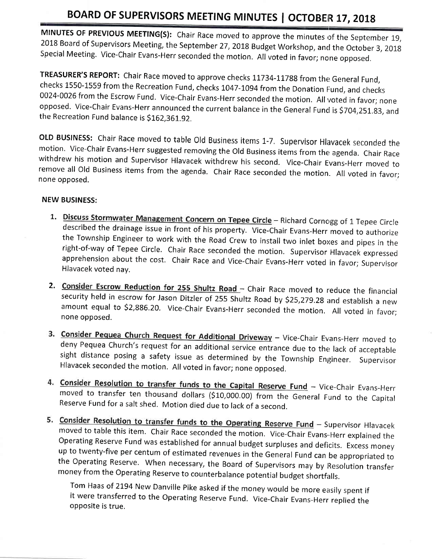MINUTES OF PREVIOUS MEETING(S): Chair Race moved to approve the minutes of the September 19,<br>2018 Board of Supervisors Meeting, the September 27, 2018 Budget Workshop, and the October 3, 2018<br>Special Meeting. Vice-Chair Ev

TREASURER'S REPORT: Chair Race moved to approve checks 11734-11788 from the General Fund, checks 1550-1559 from the Recreation Fund, checks 1047-1094 from the Donation Fund, and checks<br>0024-0026 from the Escrow Fund. Vice-Chair Evans-Herr seconded the motion. All voted in favor; none opposed. Vice-Chair Evans-Herr announced the current balance in the General Fund is \$704,251.83, and the Recreation Fund balance is \$162,361.92.

OLD BUSINESS: Chair Race moved to table Old Business items 1-7. Supervisor Hlavacek seconded the motion. Vice-Chair Evans-Herr suggested removing the Old Business items from the agenda. Chair Race withdrew his motion and S remove all old Business items from the agenda. chair Race seconded the motion. All voted in favor; none opposed.

#### NEW BUSINESS:

- 1. Discuss Stormwater Management Concern on Tepee Circle Richard Cornogg of 1 Tepee Circle described the drainage issue in front of his property. Vice-Chair Evans-Herr moved to authorize<br>the Township Engineer to work with the Road Crew to install two inlet boxes and pipes in the<br>right-of-way of Tepee Circle. Cha Hlavacek voted nay.
- 2. Consider Escrow Reduction for 255 Shultz Road Chair Race moved to reduce the financial security held in escrow for Jason Ditzler of 255 Shultz Road by \$25,279.28 and establish a new<br>amount equal to \$2,886.20. Vice-Chair Evans-Herr seconded the motion. All voted in favor; none opposed.
- 3. Consider Pequea Church Request for Additional Driveway Vice-Chair Evans-Herr moved to deny Pequea Church's request for an additional service entrance due to the lack of acceptable sight distance posing a safety issue Hlavacek seconded the motion. All voted in favor; none opposed,
- und Vice-Chair Evans-Herr moved to transfer ten thousand dollars (\$10,000.00) from the General Fund to the Capita<br>Reserve Fund for a salt shed. Motion died due to lack of a second.
- **S. Consider Resolution to transfer funds to the Operating Reserve Fund** Supervisor Hlavacek moved to table this item. Chair Race seconded the motion. Vice-Chair Evans-Herr explained the Operating Reserve Fund was establ the Operating Reserve. When necessary, the Board of Supervisors may by Resolution transfer

money from the Operating Reserve to counterbalance potential budget shortfalls.<br>Tom Haas of 2194 New Danville Pike asked if the money would be more easily spent if it were transferred to the Operating Reserve Fund. Vice-Chair Evans-Herr replied the opposite is true.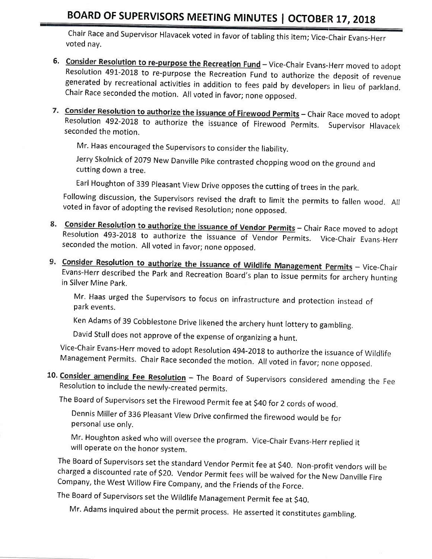Chair Race and Supervisor Hlavacek voted in favor of tabling this item; Vice-chair Evans-Herr voted nay.

- 6. Consider Resolution to re-purpose the Recreation Fund Vice-Chair Evans-Herr moved to adopt Resolution 491-2018 to re-purpose the Recreation Fund to authorize the deposit of revenue<br>generated by recreational activities in addition to fees paid by developers in lieu of parkland. chair Race seconded the motion. All voted in favor; none opposed.
- 7. Consider Resolution to authorize the issuance of Firewood Permits Chair Race moved to adopt seconded the motion, Resolution 492-2018 to authorize the issuance of Firewood Permits. Supervisor Hlavacek

Mr. Haas encouraged the Supervisors to consider the liability.

Jerry Skolnick of 2079 New Danville Pike contrasted chopping wood on the ground and cutting down a tree.

Earl Houghton of 339 Pleasant View Drive opposes the cutting of trees in the park.

Following discussion, the Supervisors revised the draft to limit the permits to fallen wood. All voted in favor of adopting the revised Resolution; none opposed.

- Resolution 493-2018 to authorize the issuance of Vendor Permits. Vice-Chair Evans-Herr seconded the motion. All voted in favor; none opposed. 8. Consider Resolution to authorize the issuance of Vendor Permits - Chair Race moved to adopt
- lution to authorize the issuance of Wildlife Management Permits Vice-Chair Evans-Herr described the Park and Recreation Board's plan to issue permits for archery hunting in Silver Mine Park.

Mr. Haas urged the Supervisors to focus on infrastructure and protection instead of park events.

Ken Adams of 39 Cobblestone Drive likened the archery hunt lottery to gambling.

David stull does not approve of the expense of organizing a hunt.

Vice-Chair Evans-Herr moved to adopt Resolution 494-2018 to authorize the issuance of Wildlife Management Permits. Chair Race seconded the motion. All voted in favor; none opposed.

10. Consider amending Fee Resolution – The Board of Supervisors considered amending the Fee<br>Resolution to include the newly-created permits.

The Board of Supervisors set the Firewood Permit fee at \$40 for 2 cords of wood.

Dennis Miller of 336 Pleasant View Drive confirmed the firewood would be for personal use only.

Mr. Houghton asked who will oversee the program. Vice-Chair Evans-Herr replied it will operate on the honor system.

The Board of Supervisors set the standard Vendor Permit fee at \$40. Non-profit vendors will be charged a discounted rate of \$20. Vendor Permit fees will be waived for the New Danville Fire company, the west willow Fire company, and the Friends of the Force,

The Board of supervisors set the wildlife Management permit fee at S40.

Mr. Adams inquired about the permit process. He asserted it constitutes gambling.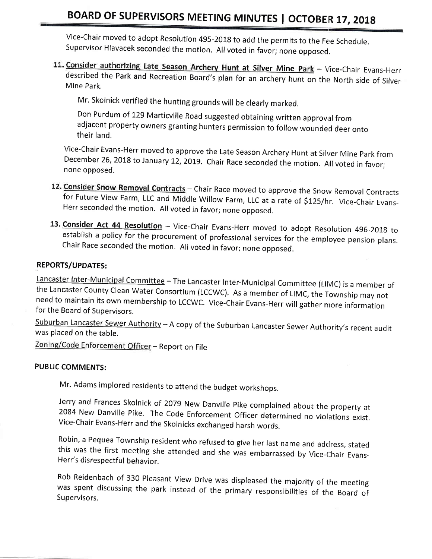Vice-Chair moved to adopt Resolution 495-2018 to add the permits to the Fee Schedule. supervisor Hlavacek seconded the motion. All voted in favor; none opposed.

11. Consider authorizing Late Season Archery Hunt at Silver Mine Park - Vice-Chair Evans-Herr Mine Park. described the Park and Recreation Board's plan for an archery hunt on the North side of Silver

Mr, Skolnick verified the hunting grounds will be clearly marked.

Don Purdum of 129 Marticville Road suggested obtaining written approval from adjacent property owners granting hunters permission to follow wounded deer onto their land.

Vice-Chair Evans-Herr moved to approve the Late Season Archery Hunt at Silver Mine Park from<br>December 26, 2018 to January 12, 2019. Chair Race seconded the motion. All voted in favor; none opposed.

- 12. Consider Snow Removal Contracts Chair Race moved to approve the Snow Removal Contracts for Future View Farm, LLC and Middle Willow Farm, LLC at a rate of \$125/hr. Vice-Chair Evans- Herr seconded the motion. All voted
- 13. Consider Act 44 Resolution Vice-Chair Evans-Herr moved to adopt Resolution 496-2018 to establish a policy for the procurement of professional services for the employee pension plans.<br>Chair Race seconded the motion. A

#### REPORTS/UPDATES:

Lancaster Inter-Municipal Committee - The Lancaster Inter-Municipal Committee (LIMC) is a member of the Lancaster County Clean Water Consortium (LCCWC). As a member of LIMC, the Township may not need to maintain its own me

Suburban Lancaster Sewer Authority - A copy of the Suburban Lancaster Sewer Authority's recent audit was placed on the table.

Zoning/Code Enforcement Officer - Report on File

#### PUBLIC COMMENTS:

Mr. Adams implored residents to attend the budget workshops.

Jerry and Frances Skolnick of 2079 New Danville Pike complained about the property at 2084 New Danville Pike. The Code Enforcement Officer determined no violations exist.<br>Vice-Chair Evans-Herr and the Skolnicks exchanged h

Robin, a Pequea Township resident who refused to give her last name and address, stated this was the first meeting she attended and she was embarrassed by Vice-Chair Evans- Herr's disrespectful behavior.

Rob Reidenbach of 330 Pleasant View Drive was displeased the majority of the meeting was spent discussing the park instead of the primary responsibilities of the Board of Supervisors.